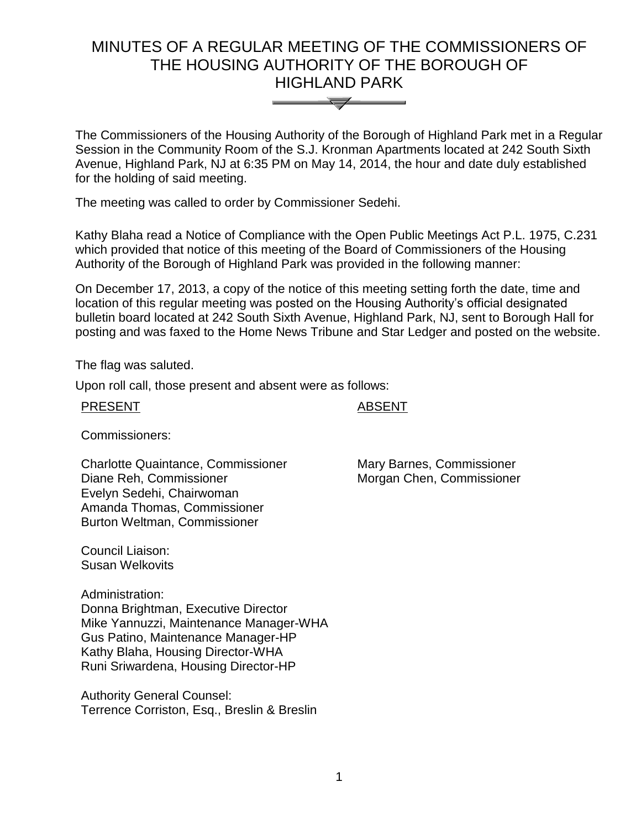# MINUTES OF A REGULAR MEETING OF THE COMMISSIONERS OF THE HOUSING AUTHORITY OF THE BOROUGH OF HIGHLAND PARK



The Commissioners of the Housing Authority of the Borough of Highland Park met in a Regular Session in the Community Room of the S.J. Kronman Apartments located at 242 South Sixth Avenue, Highland Park, NJ at 6:35 PM on May 14, 2014, the hour and date duly established for the holding of said meeting.

The meeting was called to order by Commissioner Sedehi.

Kathy Blaha read a Notice of Compliance with the Open Public Meetings Act P.L. 1975, C.231 which provided that notice of this meeting of the Board of Commissioners of the Housing Authority of the Borough of Highland Park was provided in the following manner:

On December 17, 2013, a copy of the notice of this meeting setting forth the date, time and location of this regular meeting was posted on the Housing Authority's official designated bulletin board located at 242 South Sixth Avenue, Highland Park, NJ, sent to Borough Hall for posting and was faxed to the Home News Tribune and Star Ledger and posted on the website.

The flag was saluted.

Upon roll call, those present and absent were as follows:

PRESENT ABSENT

Commissioners:

Charlotte Quaintance, Commissioner Diane Reh, Commissioner Evelyn Sedehi, Chairwoman Amanda Thomas, Commissioner Burton Weltman, Commissioner

Council Liaison: Susan Welkovits

Administration: Donna Brightman, Executive Director Mike Yannuzzi, Maintenance Manager-WHA Gus Patino, Maintenance Manager-HP Kathy Blaha, Housing Director-WHA Runi Sriwardena, Housing Director-HP

Authority General Counsel: Terrence Corriston, Esq., Breslin & Breslin Mary Barnes, Commissioner Morgan Chen, Commissioner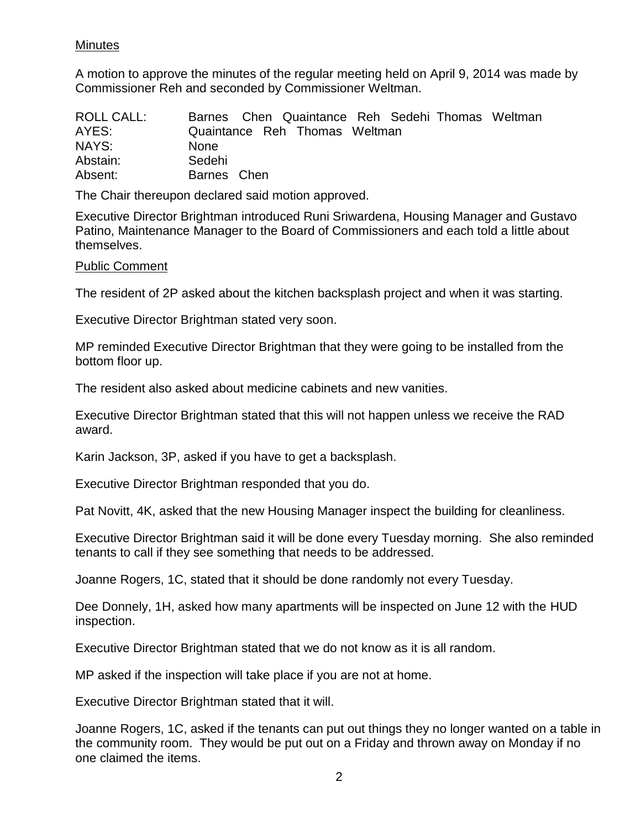## Minutes

A motion to approve the minutes of the regular meeting held on April 9, 2014 was made by Commissioner Reh and seconded by Commissioner Weltman.

| <b>ROLL CALL:</b> | Barnes Chen Quaintance Reh Sedehi Thomas Weltman |
|-------------------|--------------------------------------------------|
| AYES:             | Quaintance Reh Thomas Weltman                    |
| NAYS:             | <b>None</b>                                      |
| Abstain:          | Sedehi                                           |
| Absent:           | Barnes Chen                                      |

The Chair thereupon declared said motion approved.

Executive Director Brightman introduced Runi Sriwardena, Housing Manager and Gustavo Patino, Maintenance Manager to the Board of Commissioners and each told a little about themselves.

#### Public Comment

The resident of 2P asked about the kitchen backsplash project and when it was starting.

Executive Director Brightman stated very soon.

MP reminded Executive Director Brightman that they were going to be installed from the bottom floor up.

The resident also asked about medicine cabinets and new vanities.

Executive Director Brightman stated that this will not happen unless we receive the RAD award.

Karin Jackson, 3P, asked if you have to get a backsplash.

Executive Director Brightman responded that you do.

Pat Novitt, 4K, asked that the new Housing Manager inspect the building for cleanliness.

Executive Director Brightman said it will be done every Tuesday morning. She also reminded tenants to call if they see something that needs to be addressed.

Joanne Rogers, 1C, stated that it should be done randomly not every Tuesday.

Dee Donnely, 1H, asked how many apartments will be inspected on June 12 with the HUD inspection.

Executive Director Brightman stated that we do not know as it is all random.

MP asked if the inspection will take place if you are not at home.

Executive Director Brightman stated that it will.

Joanne Rogers, 1C, asked if the tenants can put out things they no longer wanted on a table in the community room. They would be put out on a Friday and thrown away on Monday if no one claimed the items.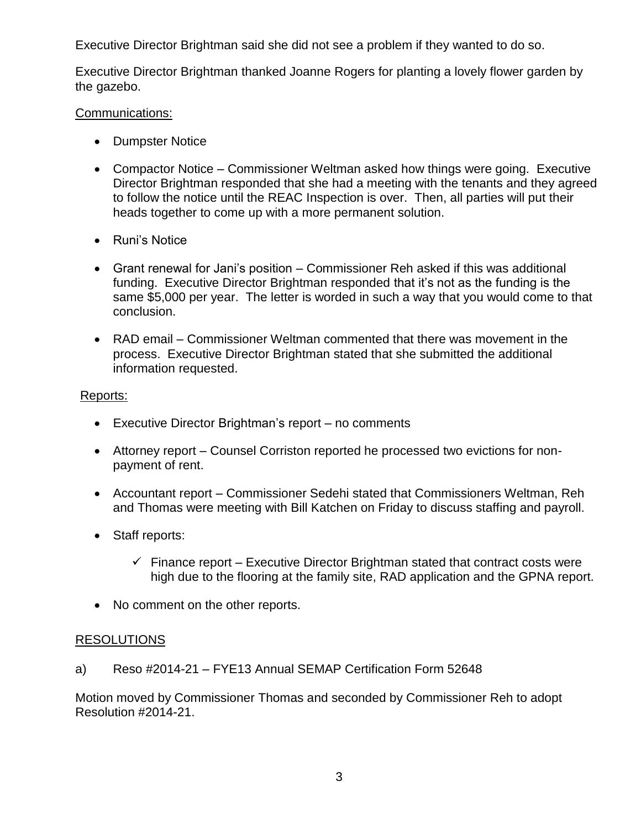Executive Director Brightman said she did not see a problem if they wanted to do so.

Executive Director Brightman thanked Joanne Rogers for planting a lovely flower garden by the gazebo.

# Communications:

- Dumpster Notice
- Compactor Notice Commissioner Weltman asked how things were going. Executive Director Brightman responded that she had a meeting with the tenants and they agreed to follow the notice until the REAC Inspection is over. Then, all parties will put their heads together to come up with a more permanent solution.
- Runi's Notice
- Grant renewal for Jani's position Commissioner Reh asked if this was additional funding. Executive Director Brightman responded that it's not as the funding is the same \$5,000 per year. The letter is worded in such a way that you would come to that conclusion.
- RAD email Commissioner Weltman commented that there was movement in the process. Executive Director Brightman stated that she submitted the additional information requested.

# Reports:

- Executive Director Brightman's report no comments
- Attorney report Counsel Corriston reported he processed two evictions for nonpayment of rent.
- Accountant report Commissioner Sedehi stated that Commissioners Weltman, Reh and Thomas were meeting with Bill Katchen on Friday to discuss staffing and payroll.
- Staff reports:
	- $\checkmark$  Finance report Executive Director Brightman stated that contract costs were high due to the flooring at the family site, RAD application and the GPNA report.
- No comment on the other reports.

## **RESOLUTIONS**

a) Reso #2014-21 – FYE13 Annual SEMAP Certification Form 52648

Motion moved by Commissioner Thomas and seconded by Commissioner Reh to adopt Resolution #2014-21.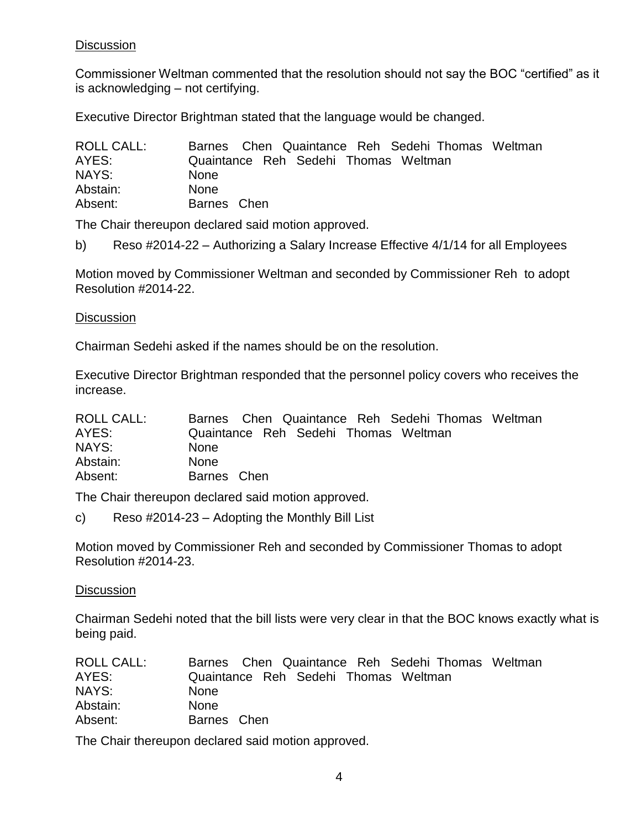# **Discussion**

Commissioner Weltman commented that the resolution should not say the BOC "certified" as it is acknowledging – not certifying.

Executive Director Brightman stated that the language would be changed.

| <b>ROLL CALL:</b> | Barnes Chen Quaintance Reh Sedehi Thomas Weltman |
|-------------------|--------------------------------------------------|
| AYES:             | Quaintance Reh Sedehi Thomas Weltman             |
| NAYS:             | <b>None</b>                                      |
| Abstain:          | <b>None</b>                                      |
| Absent:           | Barnes Chen                                      |

The Chair thereupon declared said motion approved.

b) Reso #2014-22 – Authorizing a Salary Increase Effective 4/1/14 for all Employees

Motion moved by Commissioner Weltman and seconded by Commissioner Reh to adopt Resolution #2014-22.

### **Discussion**

Chairman Sedehi asked if the names should be on the resolution.

Executive Director Brightman responded that the personnel policy covers who receives the increase.

| <b>ROLL CALL:</b> | Barnes Chen Quaintance Reh Sedehi Thomas Weltman |
|-------------------|--------------------------------------------------|
| AYES:             | Quaintance Reh Sedehi Thomas Weltman             |
| NAYS:             | <b>None</b>                                      |
| Abstain:          | <b>None</b>                                      |
| Absent:           | Barnes Chen                                      |

The Chair thereupon declared said motion approved.

c) Reso #2014-23 – Adopting the Monthly Bill List

Motion moved by Commissioner Reh and seconded by Commissioner Thomas to adopt Resolution #2014-23.

## **Discussion**

Chairman Sedehi noted that the bill lists were very clear in that the BOC knows exactly what is being paid.

| ROLL CALL: | Barnes Chen Quaintance Reh Sedehi Thomas Weltman |
|------------|--------------------------------------------------|
| AYES:      | Quaintance Reh Sedehi Thomas Weltman             |
| NAYS:      | <b>None</b>                                      |
| Abstain:   | <b>None</b>                                      |
| Absent:    | Barnes Chen                                      |

The Chair thereupon declared said motion approved.